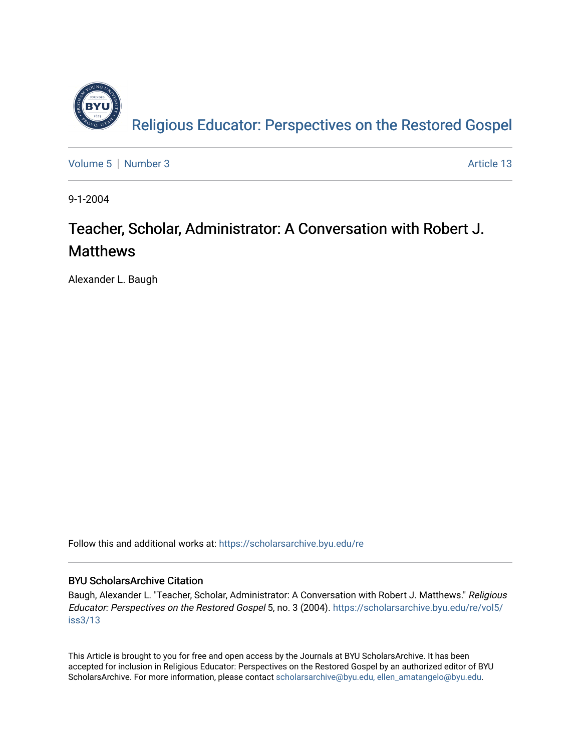

[Volume 5](https://scholarsarchive.byu.edu/re/vol5) | [Number 3](https://scholarsarchive.byu.edu/re/vol5/iss3) Article 13

9-1-2004

## Teacher, Scholar, Administrator: A Conversation with Robert J. Matthews

Alexander L. Baugh

Follow this and additional works at: [https://scholarsarchive.byu.edu/re](https://scholarsarchive.byu.edu/re?utm_source=scholarsarchive.byu.edu%2Fre%2Fvol5%2Fiss3%2F13&utm_medium=PDF&utm_campaign=PDFCoverPages)

### BYU ScholarsArchive Citation

Baugh, Alexander L. "Teacher, Scholar, Administrator: A Conversation with Robert J. Matthews." Religious Educator: Perspectives on the Restored Gospel 5, no. 3 (2004). [https://scholarsarchive.byu.edu/re/vol5/](https://scholarsarchive.byu.edu/re/vol5/iss3/13?utm_source=scholarsarchive.byu.edu%2Fre%2Fvol5%2Fiss3%2F13&utm_medium=PDF&utm_campaign=PDFCoverPages) [iss3/13](https://scholarsarchive.byu.edu/re/vol5/iss3/13?utm_source=scholarsarchive.byu.edu%2Fre%2Fvol5%2Fiss3%2F13&utm_medium=PDF&utm_campaign=PDFCoverPages) 

This Article is brought to you for free and open access by the Journals at BYU ScholarsArchive. It has been accepted for inclusion in Religious Educator: Perspectives on the Restored Gospel by an authorized editor of BYU ScholarsArchive. For more information, please contact [scholarsarchive@byu.edu, ellen\\_amatangelo@byu.edu.](mailto:scholarsarchive@byu.edu,%20ellen_amatangelo@byu.edu)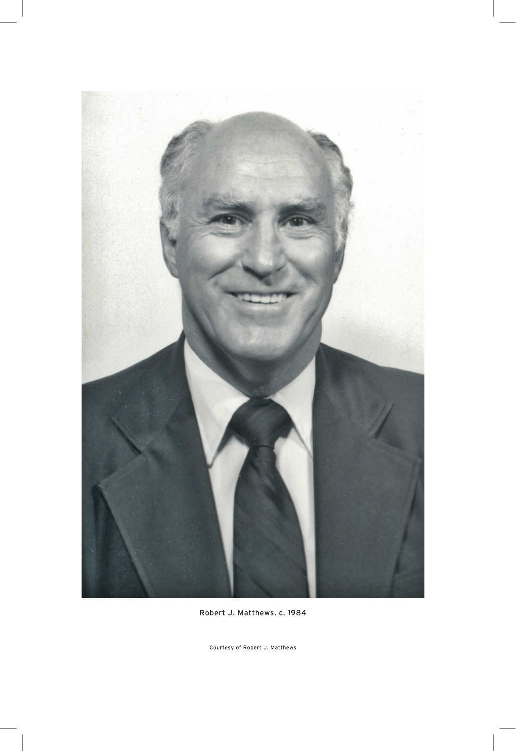

Robert J. Matthews, c. 1984

Courtesy of Robert J. Matthews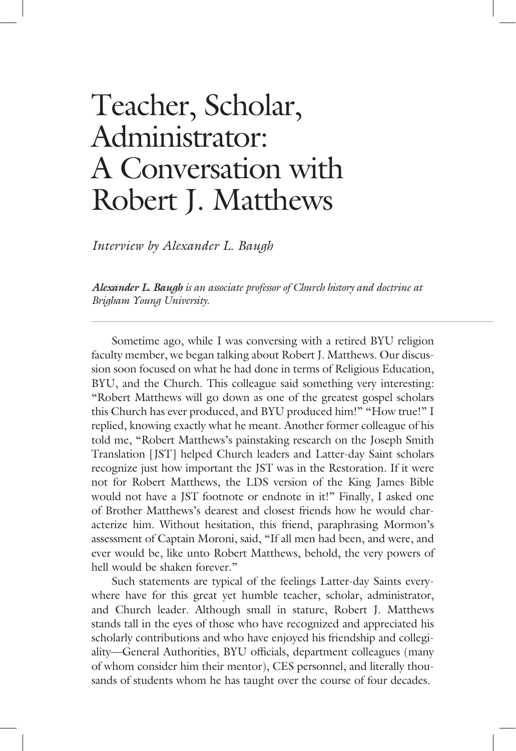# Teacher, Scholar, Administrator: A Conversation with Robert J. Matthews

*Interview by Alexander L. Baugh*

*Alexander L. Baugh is an associate professor of Church history and doctrine at Brigham Young University.*

 Sometime ago, while I was conversing with a retired BYU religion faculty member, we began talking about Robert J. Matthews. Our discussion soon focused on what he had done in terms of Religious Education, BYU, and the Church. This colleague said something very interesting: "Robert Matthews will go down as one of the greatest gospel scholars this Church has ever produced, and BYU produced him!" "How true!" I replied, knowing exactly what he meant. Another former colleague of his told me, "Robert Matthews's painstaking research on the Joseph Smith Translation [JST] helped Church leaders and Latter-day Saint scholars recognize just how important the JST was in the Restoration. If it were not for Robert Matthews, the LDS version of the King James Bible would not have a JST footnote or endnote in it!" Finally, I asked one of Brother Matthews's dearest and closest friends how he would characterize him. Without hesitation, this friend, paraphrasing Mormon's assessment of Captain Moroni, said, "If all men had been, and were, and ever would be, like unto Robert Matthews, behold, the very powers of hell would be shaken forever."

 Such statements are typical of the feelings Latter-day Saints everywhere have for this great yet humble teacher, scholar, administrator, and Church leader. Although small in stature, Robert J. Matthews stands tall in the eyes of those who have recognized and appreciated his scholarly contributions and who have enjoyed his friendship and collegiality—General Authorities, BYU officials, department colleagues (many of whom consider him their mentor), CES personnel, and literally thousands of students whom he has taught over the course of four decades.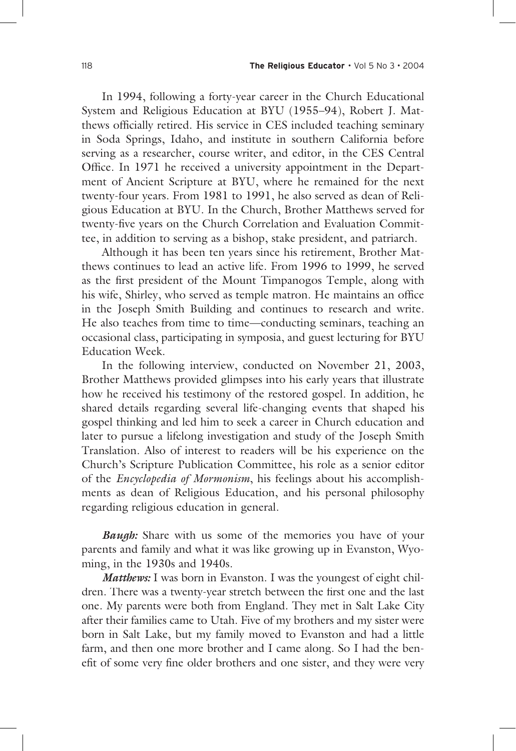In 1994, following a forty-year career in the Church Educational System and Religious Education at BYU (1955–94), Robert J. Matthews officially retired. His service in CES included teaching seminary in Soda Springs, Idaho, and institute in southern California before serving as a researcher, course writer, and editor, in the CES Central Office. In 1971 he received a university appointment in the Department of Ancient Scripture at BYU, where he remained for the next twenty-four years. From 1981 to 1991, he also served as dean of Religious Education at BYU. In the Church, Brother Matthews served for twenty-five years on the Church Correlation and Evaluation Committee, in addition to serving as a bishop, stake president, and patriarch.

 Although it has been ten years since his retirement, Brother Matthews continues to lead an active life. From 1996 to 1999, he served as the first president of the Mount Timpanogos Temple, along with his wife, Shirley, who served as temple matron. He maintains an office in the Joseph Smith Building and continues to research and write. He also teaches from time to time—conducting seminars, teaching an occasional class, participating in symposia, and guest lecturing for BYU Education Week.

 In the following interview, conducted on November 21, 2003, Brother Matthews provided glimpses into his early years that illustrate how he received his testimony of the restored gospel. In addition, he shared details regarding several life-changing events that shaped his gospel thinking and led him to seek a career in Church education and later to pursue a lifelong investigation and study of the Joseph Smith Translation. Also of interest to readers will be his experience on the Church's Scripture Publication Committee, his role as a senior editor of the *Encyclopedia of Mormonism*, his feelings about his accomplishments as dean of Religious Education, and his personal philosophy regarding religious education in general.

*Baugh:* Share with us some of the memories you have of your parents and family and what it was like growing up in Evanston, Wyoming, in the 1930s and 1940s.

*Matthews:* I was born in Evanston. I was the youngest of eight children. There was a twenty-year stretch between the first one and the last one. My parents were both from England. They met in Salt Lake City after their families came to Utah. Five of my brothers and my sister were born in Salt Lake, but my family moved to Evanston and had a little farm, and then one more brother and I came along. So I had the benefit of some very fine older brothers and one sister, and they were very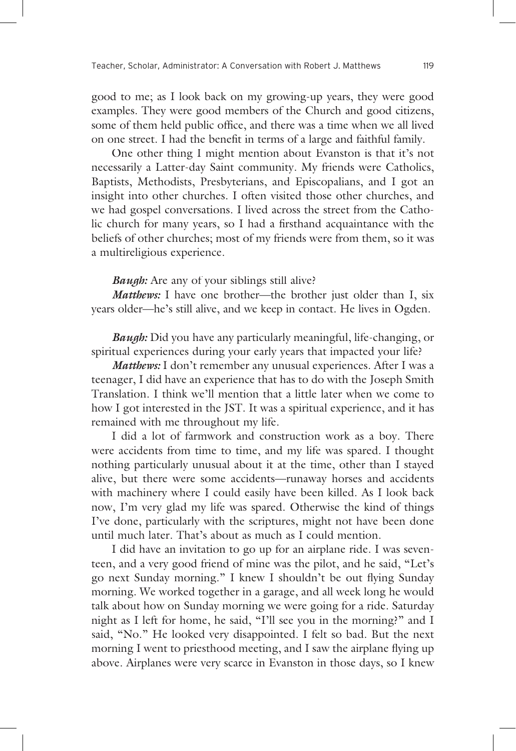good to me; as I look back on my growing-up years, they were good examples. They were good members of the Church and good citizens, some of them held public office, and there was a time when we all lived on one street. I had the benefit in terms of a large and faithful family.

 One other thing I might mention about Evanston is that it's not necessarily a Latter-day Saint community. My friends were Catholics, Baptists, Methodists, Presbyterians, and Episcopalians, and I got an insight into other churches. I often visited those other churches, and we had gospel conversations. I lived across the street from the Catholic church for many years, so I had a firsthand acquaintance with the beliefs of other churches; most of my friends were from them, so it was a multireligious experience.

*Baugh:* Are any of your siblings still alive?

*Matthews:* I have one brother—the brother just older than I, six years older—he's still alive, and we keep in contact. He lives in Ogden.

*Baugh:* Did you have any particularly meaningful, life-changing, or spiritual experiences during your early years that impacted your life?

*Matthews*: I don't remember any unusual experiences. After I was a teenager, I did have an experience that has to do with the Joseph Smith Translation. I think we'll mention that a little later when we come to how I got interested in the JST. It was a spiritual experience, and it has remained with me throughout my life.

 I did a lot of farmwork and construction work as a boy. There were accidents from time to time, and my life was spared. I thought nothing particularly unusual about it at the time, other than I stayed alive, but there were some accidents—runaway horses and accidents with machinery where I could easily have been killed. As I look back now, I'm very glad my life was spared. Otherwise the kind of things I've done, particularly with the scriptures, might not have been done until much later. That's about as much as I could mention.

 I did have an invitation to go up for an airplane ride. I was seventeen, and a very good friend of mine was the pilot, and he said, "Let's go next Sunday morning." I knew I shouldn't be out flying Sunday morning. We worked together in a garage, and all week long he would talk about how on Sunday morning we were going for a ride. Saturday night as I left for home, he said, "I'll see you in the morning?" and I said, "No." He looked very disappointed. I felt so bad. But the next morning I went to priesthood meeting, and I saw the airplane flying up above. Airplanes were very scarce in Evanston in those days, so I knew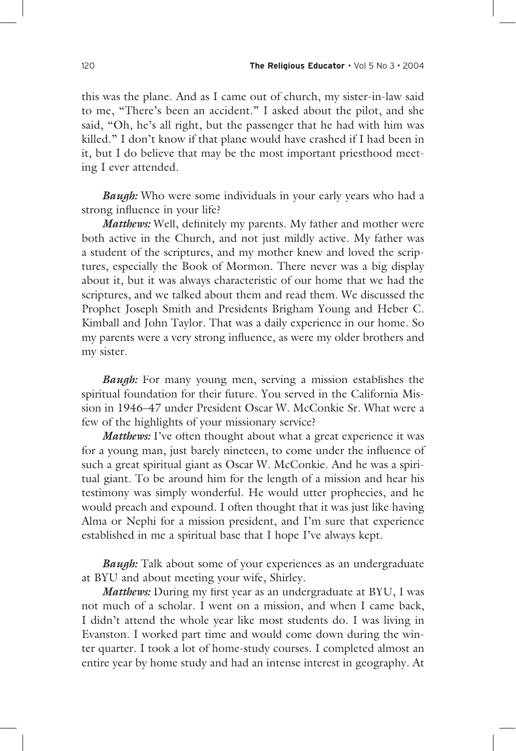this was the plane. And as I came out of church, my sister-in-law said to me, "There's been an accident." I asked about the pilot, and she said, "Oh, he's all right, but the passenger that he had with him was killed." I don't know if that plane would have crashed if I had been in it, but I do believe that may be the most important priesthood meeting I ever attended.

*Baugh:* Who were some individuals in your early years who had a a strong influence in your life?

*Matthews:* Well, definitely my parents. My father and mother were both active in the Church, and not just mildly active. My father was a student of the scriptures, and my mother knew and loved the scriptures, especially the Book of Mormon. There never was a big display about it, but it was always characteristic of our home that we had the scriptures, and we talked about them and read them. We discussed the Prophet Joseph Smith and Presidents Brigham Young and Heber C. Kimball and John Taylor. That was a daily experience in our home. So my parents were a very strong influence, as were my older brothers and my sister.

*Baugh*: For many young men, serving a mission establishes the spiritual foundation for their future. You served in the California Mission in 1946–47 under President Oscar W. McConkie Sr. What were a few of the highlights of your missionary service?

*Matthews:* I've often thought about what a great experience it was for a young man, just barely nineteen, to come under the influence of such a great spiritual giant as Oscar W. McConkie. And he was a spiritual giant. To be around him for the length of a mission and hear his testimony was simply wonderful. He would utter prophecies, and he would preach and expound. I often thought that it was just like having Alma or Nephi for a mission president, and I'm sure that experience established in me a spiritual base that I hope I've always kept.

*Baugh:* Talk about some of your experiences as an undergraduate at BYU and about meeting your wife, Shirley.

*Matthews:* During my first year as an undergraduate at BYU, I was not much of a scholar. I went on a mission, and when I came back, I didn't attend the whole year like most students do. I was living in Evanston. I worked part time and would come down during the winter quarter. I took a lot of home-study courses. I completed almost an entire year by home study and had an intense interest in geography. At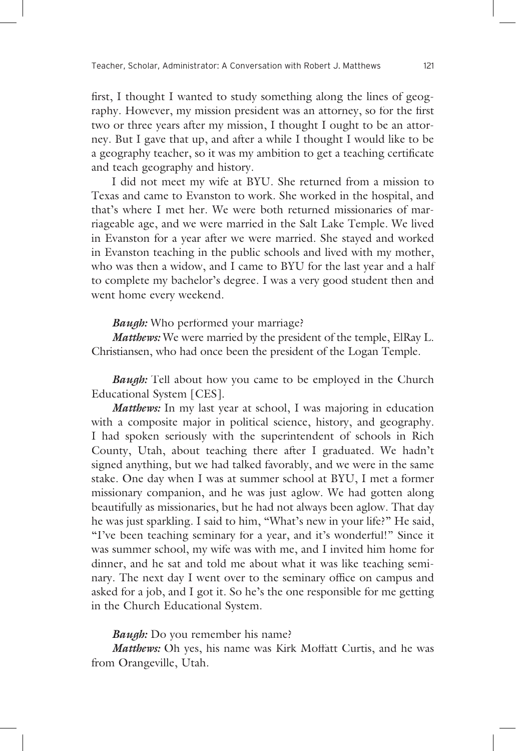first, I thought I wanted to study something along the lines of geography. However, my mission president was an attorney, so for the first two or three years after my mission, I thought I ought to be an attorney. But I gave that up, and after a while I thought I would like to be a geography teacher, so it was my ambition to get a teaching certificate and teach geography and history.

 I did not meet my wife at BYU. She returned from a mission to Texas and came to Evanston to work. She worked in the hospital, and that's where I met her. We were both returned missionaries of marriageable age, and we were married in the Salt Lake Temple. We lived in Evanston for a year after we were married. She stayed and worked in Evanston teaching in the public schools and lived with my mother, who was then a widow, and I came to BYU for the last year and a half to complete my bachelor's degree. I was a very good student then and went home every weekend.

*Baugh:* Who performed your marriage?

*Matthews*: We were married by the president of the temple, ElRay L. Christiansen, who had once been the president of the Logan Temple.

*Baugh:* Tell about how you came to be employed in the Church Educational System [CES].

*Matthews:* In my last year at school, I was majoring in education with a composite major in political science, history, and geography. I had spoken seriously with the superintendent of schools in Rich County, Utah, about teaching there after I graduated. We hadn't signed anything, but we had talked favorably, and we were in the same stake. One day when I was at summer school at BYU, I met a former missionary companion, and he was just aglow. We had gotten along beautifully as missionaries, but he had not always been aglow. That day he was just sparkling. I said to him, "What's new in your life?" He said, "I've been teaching seminary for a year, and it's wonderful!" Since it was summer school, my wife was with me, and I invited him home for dinner, and he sat and told me about what it was like teaching seminary. The next day I went over to the seminary office on campus and asked for a job, and I got it. So he's the one responsible for me getting in the Church Educational System.

#### *Baugh:* Do you remember his name?

*Matthews:* Oh yes, his name was Kirk Moffatt Curtis, and he was from Orangeville, Utah.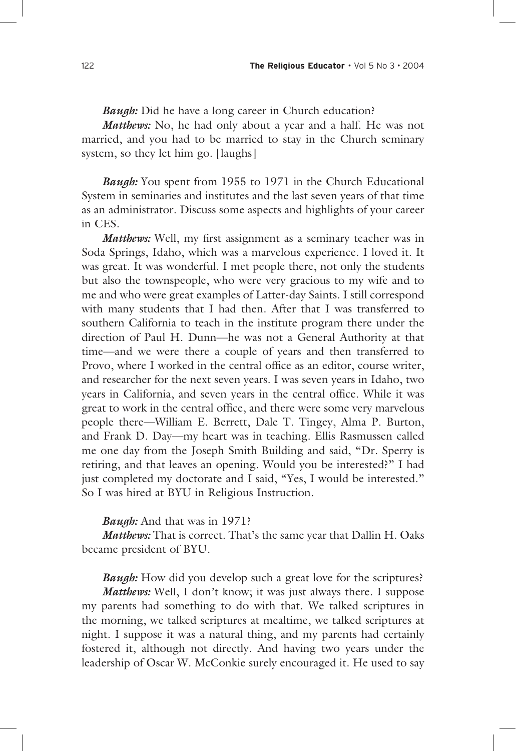*Baugh:* Did he have a long career in Church education?

*Matthews:* No, he had only about a year and a half. He was not married, and you had to be married to stay in the Church seminary system, so they let him go. [laughs]

*Baugh*: You spent from 1955 to 1971 in the Church Educational System in seminaries and institutes and the last seven years of that time as an administrator. Discuss some aspects and highlights of your career in CES.

*Matthews:* Well, my first assignment as a seminary teacher was in Soda Springs, Idaho, which was a marvelous experience. I loved it. It was great. It was wonderful. I met people there, not only the students but also the townspeople, who were very gracious to my wife and to me and who were great examples of Latter-day Saints. I still correspond with many students that I had then. After that I was transferred to southern California to teach in the institute program there under the direction of Paul H. Dunn—he was not a General Authority at that time—and we were there a couple of years and then transferred to Provo, where I worked in the central office as an editor, course writer, and researcher for the next seven years. I was seven years in Idaho, two years in California, and seven years in the central office. While it was great to work in the central office, and there were some very marvelous people there—William E. Berrett, Dale T. Tingey, Alma P. Burton, and Frank D. Day—my heart was in teaching. Ellis Rasmussen called me one day from the Joseph Smith Building and said, "Dr. Sperry is retiring, and that leaves an opening. Would you be interested?" I had just completed my doctorate and I said, "Yes, I would be interested." So I was hired at BYU in Religious Instruction.

#### *Baugh:* And that was in 1971?

*Matthews:* That is correct. That's the same year that Dallin H. Oaks became president of BYU.

*Baugh:* How did you develop such a great love for the scriptures?

*Matthews:* Well, I don't know; it was just always there. I suppose my parents had something to do with that. We talked scriptures in the morning, we talked scriptures at mealtime, we talked scriptures at night. I suppose it was a natural thing, and my parents had certainly fostered it, although not directly. And having two years under the leadership of Oscar W. McConkie surely encouraged it. He used to say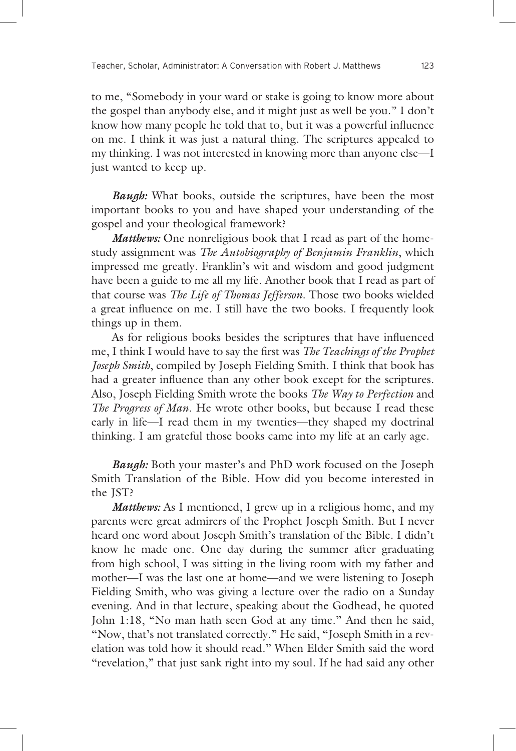to me, "Somebody in your ward or stake is going to know more about the gospel than anybody else, and it might just as well be you." I don't know how many people he told that to, but it was a powerful influence on me. I think it was just a natural thing. The scriptures appealed to my thinking. I was not interested in knowing more than anyone else—I just wanted to keep up.

*Baugh*: What books, outside the scriptures, have been the most important books to you and have shaped your understanding of the gospel and your theological framework?

*Matthews:* One nonreligious book that I read as part of the homestudy assignment was *The Autobiography of Benjamin Franklin*, which impressed me greatly. Franklin's wit and wisdom and good judgment have been a guide to me all my life. Another book that I read as part of that course was *The Life of Thomas Jefferson*. Those two books wielded a great influence on me. I still have the two books. I frequently look things up in them.

As for religious books besides the scriptures that have influenced me, I think I would have to say the first was *The Teachings of the Prophet Joseph Smith*, compiled by Joseph Fielding Smith. I think that book has had a greater influence than any other book except for the scriptures. Also, Joseph Fielding Smith wrote the books *The Way to Perfection* and *The Progress of Man*. He wrote other books, but because I read these early in life—I read them in my twenties—they shaped my doctrinal thinking. I am grateful those books came into my life at an early age.

*Baugh*: Both your master's and PhD work focused on the Joseph Smith Translation of the Bible. How did you become interested in the JST?

*Matthews:* As I mentioned, I grew up in a religious home, and my parents were great admirers of the Prophet Joseph Smith. But I never heard one word about Joseph Smith's translation of the Bible. I didn't know he made one. One day during the summer after graduating from high school, I was sitting in the living room with my father and mother—I was the last one at home—and we were listening to Joseph Fielding Smith, who was giving a lecture over the radio on a Sunday evening. And in that lecture, speaking about the Godhead, he quoted John 1:18, "No man hath seen God at any time." And then he said, "Now, that's not translated correctly." He said, "Joseph Smith in a revelation was told how it should read." When Elder Smith said the word "revelation," that just sank right into my soul. If he had said any other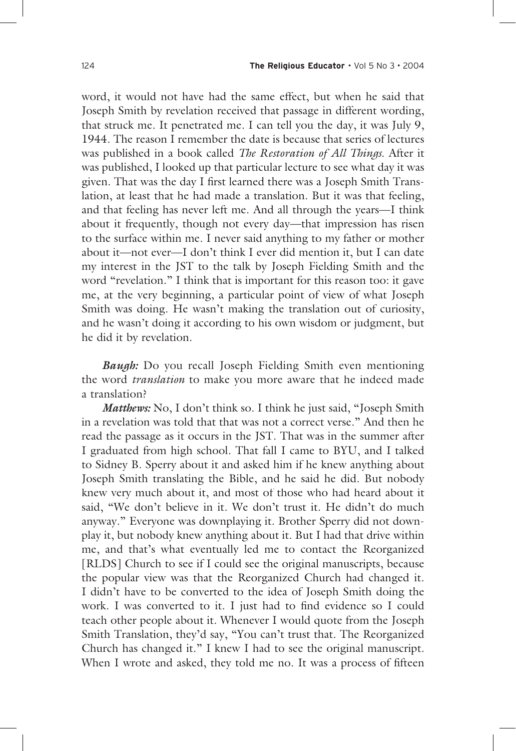word, it would not have had the same effect, but when he said that Joseph Smith by revelation received that passage in different wording, that struck me. It penetrated me. I can tell you the day, it was July 9, 1944. The reason I remember the date is because that series of lectures was published in a book called *The Restoration of All Things*. After it was published, I looked up that particular lecture to see what day it was given. That was the day I first learned there was a Joseph Smith Translation, at least that he had made a translation. But it was that feeling, and that feeling has never left me. And all through the years—I think about it frequently, though not every day—that impression has risen to the surface within me. I never said anything to my father or mother about it—not ever—I don't think I ever did mention it, but I can date my interest in the JST to the talk by Joseph Fielding Smith and the word "revelation." I think that is important for this reason too: it gave me, at the very beginning, a particular point of view of what Joseph Smith was doing. He wasn't making the translation out of curiosity, and he wasn't doing it according to his own wisdom or judgment, but he did it by revelation.

*Baugh*: Do you recall Joseph Fielding Smith even mentioning the word *translation* to make you more aware that he indeed made a translation?

*Matthews:* No, I don't think so. I think he just said, "Joseph Smith" in a revelation was told that that was not a correct verse." And then he read the passage as it occurs in the JST. That was in the summer after I graduated from high school. That fall I came to BYU, and I talked to Sidney B. Sperry about it and asked him if he knew anything about Joseph Smith translating the Bible, and he said he did. But nobody knew very much about it, and most of those who had heard about it said, "We don't believe in it. We don't trust it. He didn't do much anyway." Everyone was downplaying it. Brother Sperry did not downplay it, but nobody knew anything about it. But I had that drive within me, and that's what eventually led me to contact the Reorganized [RLDS] Church to see if I could see the original manuscripts, because the popular view was that the Reorganized Church had changed it. I didn't have to be converted to the idea of Joseph Smith doing the work. I was converted to it. I just had to find evidence so I could teach other people about it. Whenever I would quote from the Joseph Smith Translation, they'd say, "You can't trust that. The Reorganized Church has changed it." I knew I had to see the original manuscript. When I wrote and asked, they told me no. It was a process of fifteen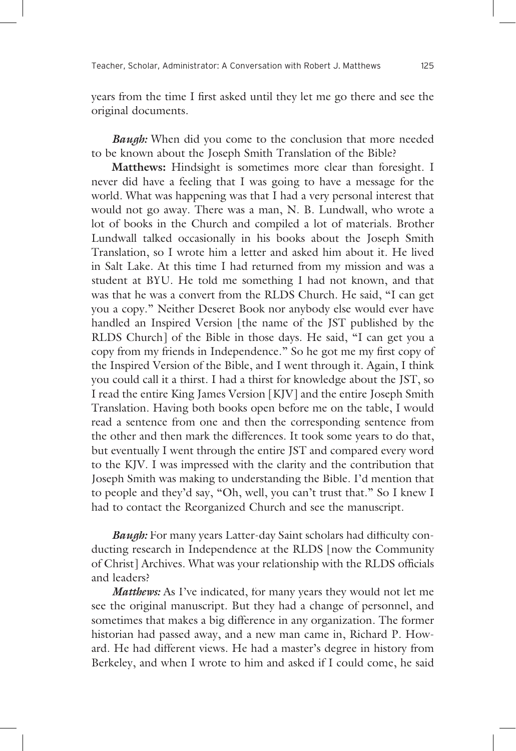years from the time I first asked until they let me go there and see the original documents.

*Baugh:* When did you come to the conclusion that more needed to be known about the Joseph Smith Translation of the Bible?

**Matthews:** Hindsight is sometimes more clear than foresight. I never did have a feeling that I was going to have a message for the world. What was happening was that I had a very personal interest that would not go away. There was a man, N. B. Lundwall, who wrote a lot of books in the Church and compiled a lot of materials. Brother Lundwall talked occasionally in his books about the Joseph Smith Translation, so I wrote him a letter and asked him about it. He lived in Salt Lake. At this time I had returned from my mission and was a student at BYU. He told me something I had not known, and that was that he was a convert from the RLDS Church. He said, "I can get you a copy." Neither Deseret Book nor anybody else would ever have handled an Inspired Version [the name of the JST published by the RLDS Church] of the Bible in those days. He said, "I can get you a copy from my friends in Independence." So he got me my first copy of the Inspired Version of the Bible, and I went through it. Again, I think you could call it a thirst. I had a thirst for knowledge about the JST, so I read the entire King James Version [KJV] and the entire Joseph Smith Translation. Having both books open before me on the table, I would read a sentence from one and then the corresponding sentence from the other and then mark the differences. It took some years to do that, but eventually I went through the entire JST and compared every word to the KJV. I was impressed with the clarity and the contribution that Joseph Smith was making to understanding the Bible. I'd mention that to people and they'd say, "Oh, well, you can't trust that." So I knew I had to contact the Reorganized Church and see the manuscript.

*Baugh*: For many years Latter-day Saint scholars had difficulty conducting research in Independence at the RLDS [now the Community of Christ] Archives. What was your relationship with the RLDS officials and leaders?

*Matthews:* As I've indicated, for many years they would not let me see the original manuscript. But they had a change of personnel, and sometimes that makes a big difference in any organization. The former historian had passed away, and a new man came in, Richard P. Howard. He had different views. He had a master's degree in history from Berkeley, and when I wrote to him and asked if I could come, he said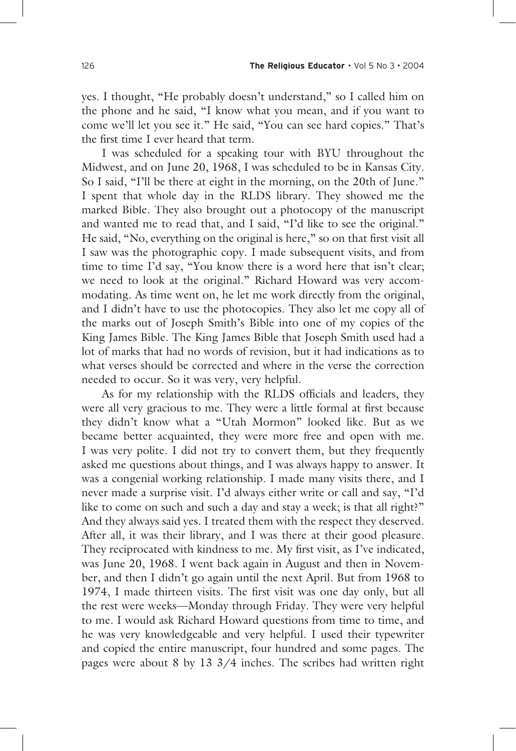yes. I thought, "He probably doesn't understand," so I called him on the phone and he said, "I know what you mean, and if you want to come we'll let you see it." He said, "You can see hard copies." That's the first time I ever heard that term.

 I was scheduled for a speaking tour with BYU throughout the Midwest, and on June 20, 1968, I was scheduled to be in Kansas City. So I said, "I'll be there at eight in the morning, on the 20th of June." I spent that whole day in the RLDS library. They showed me the marked Bible. They also brought out a photocopy of the manuscript and wanted me to read that, and I said, "I'd like to see the original." He said, "No, everything on the original is here," so on that first visit all I saw was the photographic copy. I made subsequent visits, and from time to time I'd say, "You know there is a word here that isn't clear; we need to look at the original." Richard Howard was very accommodating. As time went on, he let me work directly from the original, and I didn't have to use the photocopies. They also let me copy all of the marks out of Joseph Smith's Bible into one of my copies of the King James Bible. The King James Bible that Joseph Smith used had a lot of marks that had no words of revision, but it had indications as to what verses should be corrected and where in the verse the correction needed to occur. So it was very, very helpful.

As for my relationship with the RLDS officials and leaders, they were all very gracious to me. They were a little formal at first because they didn't know what a "Utah Mormon" looked like. But as we became better acquainted, they were more free and open with me. I was very polite. I did not try to convert them, but they frequently asked me questions about things, and I was always happy to answer. It was a congenial working relationship. I made many visits there, and I never made a surprise visit. I'd always either write or call and say, "I'd like to come on such and such a day and stay a week; is that all right?" And they always said yes. I treated them with the respect they deserved. After all, it was their library, and I was there at their good pleasure. They reciprocated with kindness to me. My first visit, as I've indicated, was June 20, 1968. I went back again in August and then in November, and then I didn't go again until the next April. But from 1968 to 1974, I made thirteen visits. The first visit was one day only, but all the rest were weeks—Monday through Friday. They were very helpful to me. I would ask Richard Howard questions from time to time, and he was very knowledgeable and very helpful. I used their typewriter and copied the entire manuscript, four hundred and some pages. The pages were about 8 by 13 3/4 inches. The scribes had written right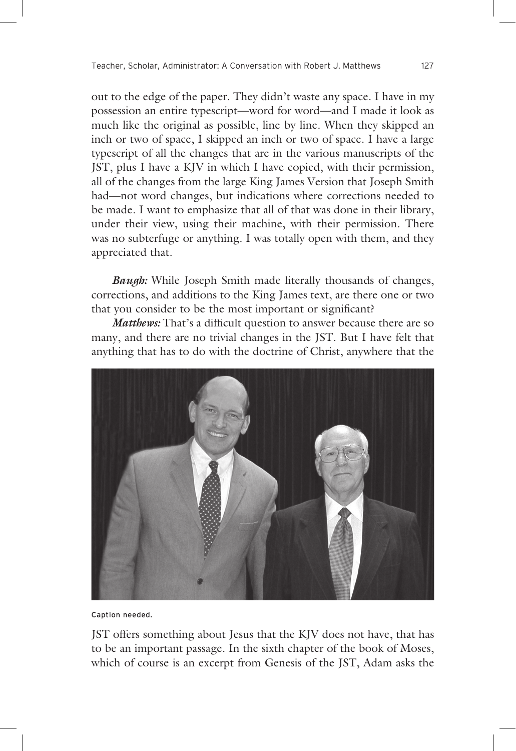out to the edge of the paper. They didn't waste any space. I have in my possession an entire typescript—word for word—and I made it look as much like the original as possible, line by line. When they skipped an inch or two of space, I skipped an inch or two of space. I have a large typescript of all the changes that are in the various manuscripts of the JST, plus I have a KJV in which I have copied, with their permission, all of the changes from the large King James Version that Joseph Smith had—not word changes, but indications where corrections needed to be made. I want to emphasize that all of that was done in their library, under their view, using their machine, with their permission. There was no subterfuge or anything. I was totally open with them, and they appreciated that.

*Baugh*: While Joseph Smith made literally thousands of changes, corrections, and additions to the King James text, are there one or two that you consider to be the most important or significant?

*Matthews*: That's a difficult question to answer because there are so many, and there are no trivial changes in the JST. But I have felt that anything that has to do with the doctrine of Christ, anywhere that the



Caption needed.

JST offers something about Jesus that the KJV does not have, that has to be an important passage. In the sixth chapter of the book of Moses, which of course is an excerpt from Genesis of the JST, Adam asks the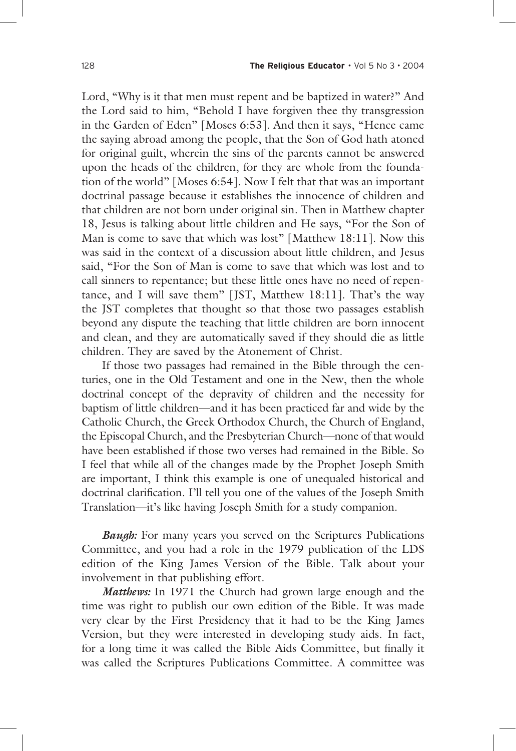Lord, "Why is it that men must repent and be baptized in water?" And the Lord said to him, "Behold I have forgiven thee thy transgression in the Garden of Eden" [Moses 6:53]. And then it says, "Hence came the saying abroad among the people, that the Son of God hath atoned for original guilt, wherein the sins of the parents cannot be answered upon the heads of the children, for they are whole from the foundation of the world" [Moses 6:54]. Now I felt that that was an important doctrinal passage because it establishes the innocence of children and that children are not born under original sin. Then in Matthew chapter 18, Jesus is talking about little children and He says, "For the Son of Man is come to save that which was lost" [Matthew 18:11]. Now this was said in the context of a discussion about little children, and Jesus said, "For the Son of Man is come to save that which was lost and to call sinners to repentance; but these little ones have no need of repentance, and I will save them" [JST, Matthew 18:11]. That's the way the JST completes that thought so that those two passages establish beyond any dispute the teaching that little children are born innocent and clean, and they are automatically saved if they should die as little children. They are saved by the Atonement of Christ.

 If those two passages had remained in the Bible through the centuries, one in the Old Testament and one in the New, then the whole doctrinal concept of the depravity of children and the necessity for baptism of little children—and it has been practiced far and wide by the Catholic Church, the Greek Orthodox Church, the Church of England, the Episcopal Church, and the Presbyterian Church—none of that would have been established if those two verses had remained in the Bible. So I feel that while all of the changes made by the Prophet Joseph Smith are important, I think this example is one of unequaled historical and doctrinal clarification. I'll tell you one of the values of the Joseph Smith Translation—it's like having Joseph Smith for a study companion.

*Baugh*: For many years you served on the Scriptures Publications Committee, and you had a role in the 1979 publication of the LDS edition of the King James Version of the Bible. Talk about your involvement in that publishing effort.

*Matthews:* In 1971 the Church had grown large enough and the time was right to publish our own edition of the Bible. It was made very clear by the First Presidency that it had to be the King James Version, but they were interested in developing study aids. In fact, for a long time it was called the Bible Aids Committee, but finally it was called the Scriptures Publications Committee. A committee was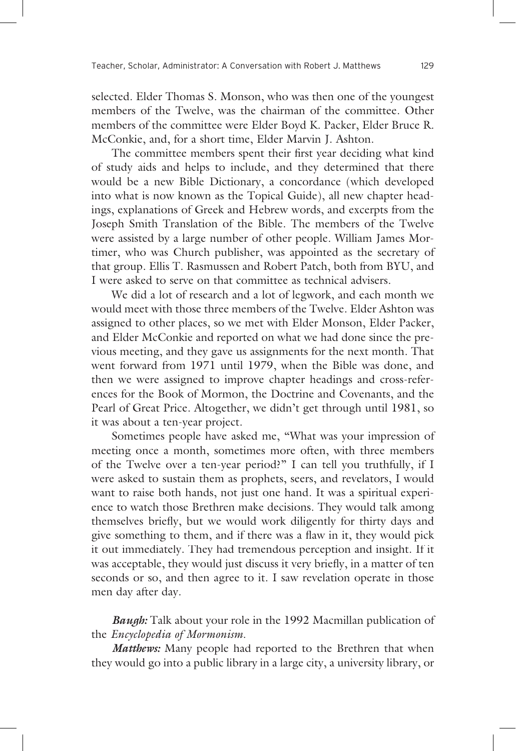selected. Elder Thomas S. Monson, who was then one of the youngest members of the Twelve, was the chairman of the committee. Other members of the committee were Elder Boyd K. Packer, Elder Bruce R. McConkie, and, for a short time, Elder Marvin J. Ashton.

The committee members spent their first year deciding what kind of study aids and helps to include, and they determined that there would be a new Bible Dictionary, a concordance (which developed into what is now known as the Topical Guide), all new chapter headings, explanations of Greek and Hebrew words, and excerpts from the Joseph Smith Translation of the Bible. The members of the Twelve were assisted by a large number of other people. William James Mortimer, who was Church publisher, was appointed as the secretary of that group. Ellis T. Rasmussen and Robert Patch, both from BYU, and I were asked to serve on that committee as technical advisers.

 We did a lot of research and a lot of legwork, and each month we would meet with those three members of the Twelve. Elder Ashton was assigned to other places, so we met with Elder Monson, Elder Packer, and Elder McConkie and reported on what we had done since the previous meeting, and they gave us assignments for the next month. That went forward from 1971 until 1979, when the Bible was done, and then we were assigned to improve chapter headings and cross-references for the Book of Mormon, the Doctrine and Covenants, and the Pearl of Great Price. Altogether, we didn't get through until 1981, so it was about a ten-year project.

 Sometimes people have asked me, "What was your impression of meeting once a month, sometimes more often, with three members of the Twelve over a ten-year period?" I can tell you truthfully, if I were asked to sustain them as prophets, seers, and revelators, I would want to raise both hands, not just one hand. It was a spiritual experience to watch those Brethren make decisions. They would talk among themselves briefly, but we would work diligently for thirty days and give something to them, and if there was a flaw in it, they would pick it out immediately. They had tremendous perception and insight. If it was acceptable, they would just discuss it very briefly, in a matter of ten seconds or so, and then agree to it. I saw revelation operate in those men day after day.

**Baugh:** Talk about your role in the 1992 Macmillan publication of the *Encyclopedia of Mormonism*.

*Matthews:* Many people had reported to the Brethren that when they would go into a public library in a large city, a university library, or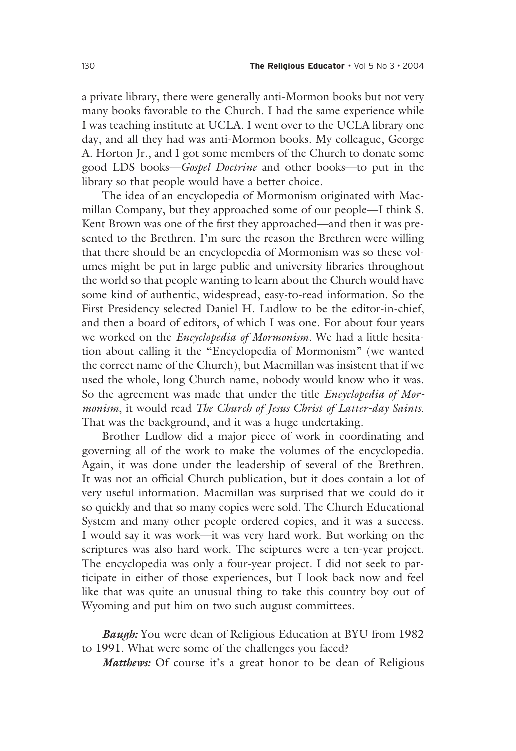a private library, there were generally anti-Mormon books but not very many books favorable to the Church. I had the same experience while I was teaching institute at UCLA. I went over to the UCLA library one day, and all they had was anti-Mormon books. My colleague, George A. Horton Jr., and I got some members of the Church to donate some good LDS books—*Gospel Doctrine* and other books—to put in the library so that people would have a better choice.

 The idea of an encyclopedia of Mormonism originated with Macmillan Company, but they approached some of our people—I think S. Kent Brown was one of the first they approached—and then it was presented to the Brethren. I'm sure the reason the Brethren were willing that there should be an encyclopedia of Mormonism was so these volumes might be put in large public and university libraries throughout the world so that people wanting to learn about the Church would have some kind of authentic, widespread, easy-to-read information. So the First Presidency selected Daniel H. Ludlow to be the editor-in-chief, and then a board of editors, of which I was one. For about four years we worked on the *Encyclopedia of Mormonism*. We had a little hesitation about calling it the "Encyclopedia of Mormonism" (we wanted the correct name of the Church), but Macmillan was insistent that if we used the whole, long Church name, nobody would know who it was. So the agreement was made that under the title *Encyclopedia of Mormonism*, it would read *The Church of Jesus Christ of Latter-day Saints*. That was the background, and it was a huge undertaking.

 Brother Ludlow did a major piece of work in coordinating and governing all of the work to make the volumes of the encyclopedia. Again, it was done under the leadership of several of the Brethren. It was not an official Church publication, but it does contain a lot of very useful information. Macmillan was surprised that we could do it so quickly and that so many copies were sold. The Church Educational System and many other people ordered copies, and it was a success. I would say it was work—it was very hard work. But working on the scriptures was also hard work. The sciptures were a ten-year project. The encyclopedia was only a four-year project. I did not seek to participate in either of those experiences, but I look back now and feel like that was quite an unusual thing to take this country boy out of Wyoming and put him on two such august committees.

**Baugh:** You were dean of Religious Education at BYU from 1982 to 1991. What were some of the challenges you faced?

*Matthews:* Of course it's a great honor to be dean of Religious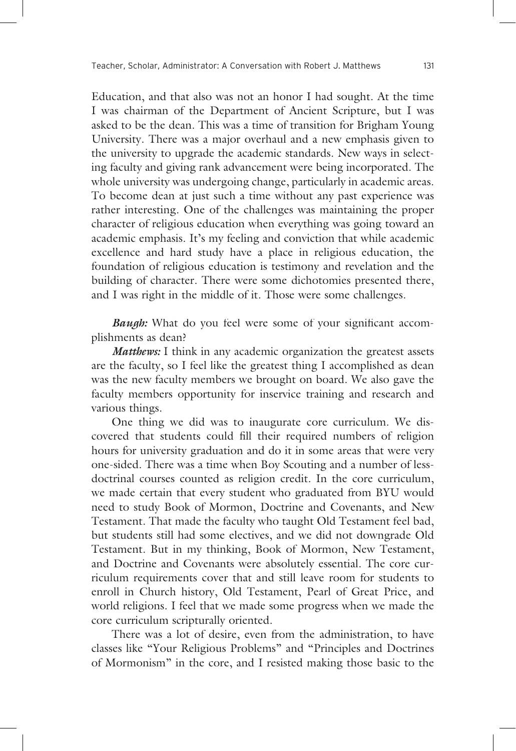Education, and that also was not an honor I had sought. At the time I was chairman of the Department of Ancient Scripture, but I was asked to be the dean. This was a time of transition for Brigham Young University. There was a major overhaul and a new emphasis given to the university to upgrade the academic standards. New ways in selecting faculty and giving rank advancement were being incorporated. The whole university was undergoing change, particularly in academic areas. To become dean at just such a time without any past experience was rather interesting. One of the challenges was maintaining the proper character of religious education when everything was going toward an academic emphasis. It's my feeling and conviction that while academic excellence and hard study have a place in religious education, the foundation of religious education is testimony and revelation and the building of character. There were some dichotomies presented there, and I was right in the middle of it. Those were some challenges.

*Baugh*: What do you feel were some of your significant accomplishments as dean?

*Matthews*: I think in any academic organization the greatest assets are the faculty, so I feel like the greatest thing I accomplished as dean was the new faculty members we brought on board. We also gave the faculty members opportunity for inservice training and research and various things.

 One thing we did was to inaugurate core curriculum. We discovered that students could fill their required numbers of religion hours for university graduation and do it in some areas that were very one-sided. There was a time when Boy Scouting and a number of lessdoctrinal courses counted as religion credit. In the core curriculum, we made certain that every student who graduated from BYU would need to study Book of Mormon, Doctrine and Covenants, and New Testament. That made the faculty who taught Old Testament feel bad, but students still had some electives, and we did not downgrade Old Testament. But in my thinking, Book of Mormon, New Testament, and Doctrine and Covenants were absolutely essential. The core curriculum requirements cover that and still leave room for students to enroll in Church history, Old Testament, Pearl of Great Price, and world religions. I feel that we made some progress when we made the core curriculum scripturally oriented.

 There was a lot of desire, even from the administration, to have classes like "Your Religious Problems" and "Principles and Doctrines of Mormonism" in the core, and I resisted making those basic to the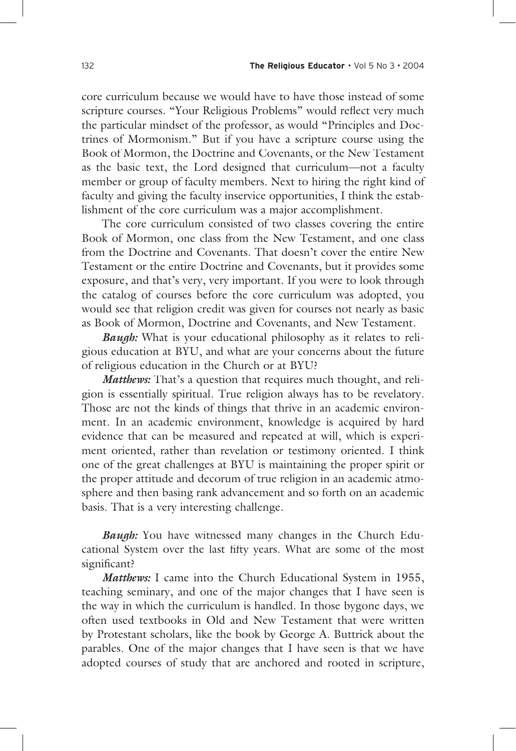core curriculum because we would have to have those instead of some scripture courses. "Your Religious Problems" would reflect very much the particular mindset of the professor, as would "Principles and Doctrines of Mormonism." But if you have a scripture course using the Book of Mormon, the Doctrine and Covenants, or the New Testament as the basic text, the Lord designed that curriculum—not a faculty member or group of faculty members. Next to hiring the right kind of faculty and giving the faculty inservice opportunities, I think the establishment of the core curriculum was a major accomplishment.

 The core curriculum consisted of two classes covering the entire Book of Mormon, one class from the New Testament, and one class from the Doctrine and Covenants. That doesn't cover the entire New Testament or the entire Doctrine and Covenants, but it provides some exposure, and that's very, very important. If you were to look through the catalog of courses before the core curriculum was adopted, you would see that religion credit was given for courses not nearly as basic as Book of Mormon, Doctrine and Covenants, and New Testament.

*Baugh:* What is your educational philosophy as it relates to religious education at BYU, and what are your concerns about the future of religious education in the Church or at BYU?

*Matthews:* That's a question that requires much thought, and religion is essentially spiritual. True religion always has to be revelatory. Those are not the kinds of things that thrive in an academic environment. In an academic environment, knowledge is acquired by hard evidence that can be measured and repeated at will, which is experiment oriented, rather than revelation or testimony oriented. I think one of the great challenges at BYU is maintaining the proper spirit or the proper attitude and decorum of true religion in an academic atmosphere and then basing rank advancement and so forth on an academic basis. That is a very interesting challenge.

*Baugh***:** You have witnessed many changes in the Church Educational System over the last fifty years. What are some of the most significant?

*Matthews:* I came into the Church Educational System in 1955, teaching seminary, and one of the major changes that I have seen is the way in which the curriculum is handled. In those bygone days, we often used textbooks in Old and New Testament that were written by Protestant scholars, like the book by George A. Buttrick about the parables. One of the major changes that I have seen is that we have adopted courses of study that are anchored and rooted in scripture,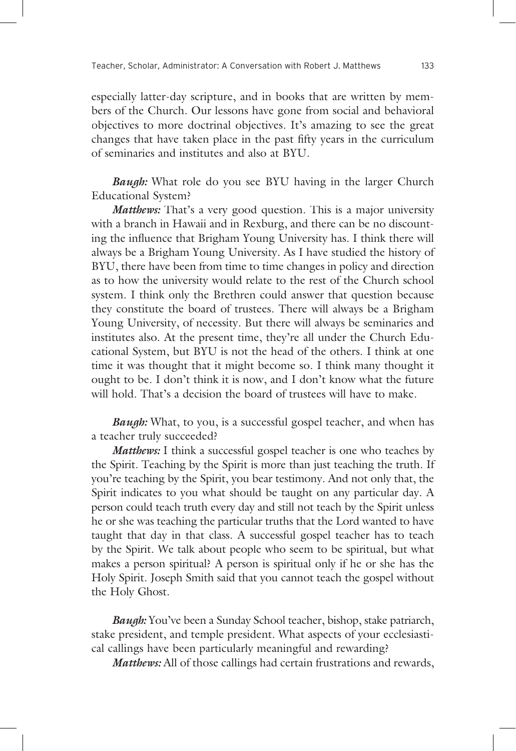especially latter-day scripture, and in books that are written by members of the Church. Our lessons have gone from social and behavioral objectives to more doctrinal objectives. It's amazing to see the great changes that have taken place in the past fifty years in the curriculum of seminaries and institutes and also at BYU.

*Baugh:* What role do you see BYU having in the larger Church Educational System?

*Matthews:* That's a very good question. This is a major university with a branch in Hawaii and in Rexburg, and there can be no discounting the influence that Brigham Young University has. I think there will always be a Brigham Young University. As I have studied the history of BYU, there have been from time to time changes in policy and direction as to how the university would relate to the rest of the Church school system. I think only the Brethren could answer that question because they constitute the board of trustees. There will always be a Brigham Young University, of necessity. But there will always be seminaries and institutes also. At the present time, they're all under the Church Educational System, but BYU is not the head of the others. I think at one time it was thought that it might become so. I think many thought it ought to be. I don't think it is now, and I don't know what the future will hold. That's a decision the board of trustees will have to make.

*Baugh:* What, to you, is a successful gospel teacher, and when has a teacher truly succeeded?

*Matthews:* I think a successful gospel teacher is one who teaches by the Spirit. Teaching by the Spirit is more than just teaching the truth. If you're teaching by the Spirit, you bear testimony. And not only that, the Spirit indicates to you what should be taught on any particular day. A person could teach truth every day and still not teach by the Spirit unless he or she was teaching the particular truths that the Lord wanted to have taught that day in that class. A successful gospel teacher has to teach by the Spirit. We talk about people who seem to be spiritual, but what makes a person spiritual? A person is spiritual only if he or she has the Holy Spirit. Joseph Smith said that you cannot teach the gospel without the Holy Ghost.

*Baugh*: You've been a Sunday School teacher, bishop, stake patriarch, stake president, and temple president. What aspects of your ecclesiastical callings have been particularly meaningful and rewarding?

*Matthews:* All of those callings had certain frustrations and rewards,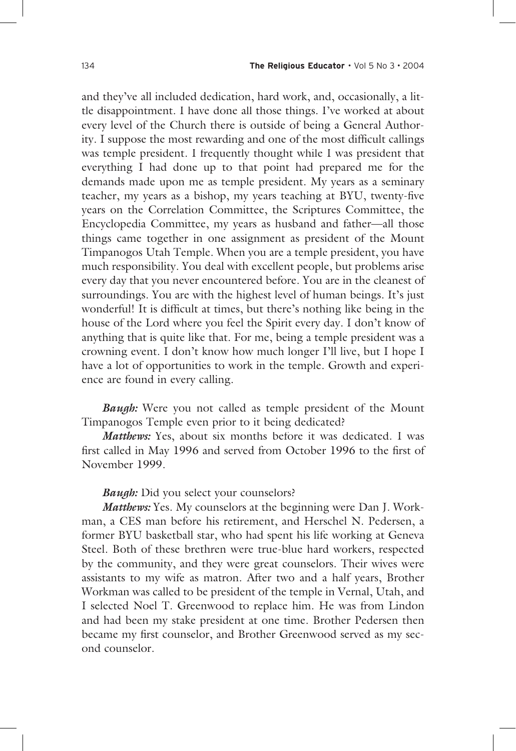and they've all included dedication, hard work, and, occasionally, a little disappointment. I have done all those things. I've worked at about every level of the Church there is outside of being a General Authority. I suppose the most rewarding and one of the most difficult callings was temple president. I frequently thought while I was president that everything I had done up to that point had prepared me for the demands made upon me as temple president. My years as a seminary teacher, my years as a bishop, my years teaching at BYU, twenty-five years on the Correlation Committee, the Scriptures Committee, the Encyclopedia Committee, my years as husband and father—all those things came together in one assignment as president of the Mount Timpanogos Utah Temple. When you are a temple president, you have much responsibility. You deal with excellent people, but problems arise every day that you never encountered before. You are in the cleanest of surroundings. You are with the highest level of human beings. It's just wonderful! It is difficult at times, but there's nothing like being in the house of the Lord where you feel the Spirit every day. I don't know of anything that is quite like that. For me, being a temple president was a crowning event. I don't know how much longer I'll live, but I hope I have a lot of opportunities to work in the temple. Growth and experience are found in every calling.

*Baugh:* Were you not called as temple president of the Mount Timpanogos Temple even prior to it being dedicated?

*Matthews:* Yes, about six months before it was dedicated. I was first called in May 1996 and served from October 1996 to the first of November 1999.

#### *Baugh:* Did you select your counselors?

*Matthews:* Yes. My counselors at the beginning were Dan J. Workman, a CES man before his retirement, and Herschel N. Pedersen, a former BYU basketball star, who had spent his life working at Geneva Steel. Both of these brethren were true-blue hard workers, respected by the community, and they were great counselors. Their wives were assistants to my wife as matron. After two and a half years, Brother Workman was called to be president of the temple in Vernal, Utah, and I selected Noel T. Greenwood to replace him. He was from Lindon and had been my stake president at one time. Brother Pedersen then became my first counselor, and Brother Greenwood served as my second counselor.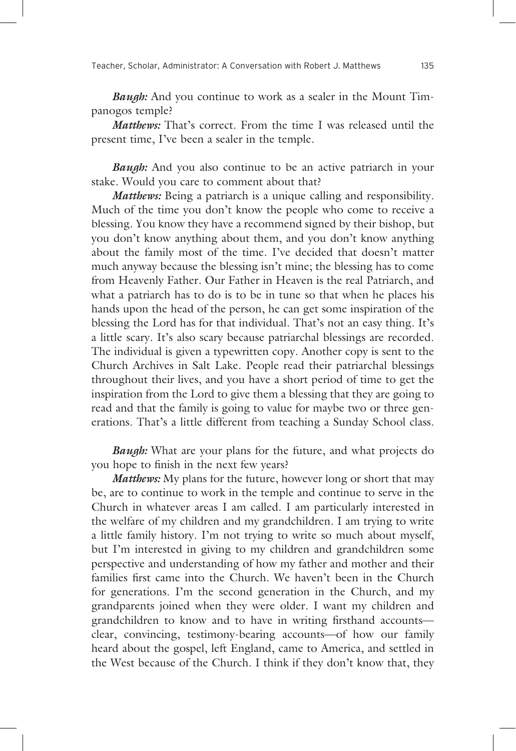*Baugh:* And you continue to work as a sealer in the Mount Timpanogos temple?

*Matthews:* That's correct. From the time I was released until the present time, I've been a sealer in the temple.

*Baugh:* And you also continue to be an active patriarch in your stake. Would you care to comment about that?

*Matthews:* Being a patriarch is a unique calling and responsibility. Much of the time you don't know the people who come to receive a blessing. You know they have a recommend signed by their bishop, but you don't know anything about them, and you don't know anything about the family most of the time. I've decided that doesn't matter much anyway because the blessing isn't mine; the blessing has to come from Heavenly Father. Our Father in Heaven is the real Patriarch, and what a patriarch has to do is to be in tune so that when he places his hands upon the head of the person, he can get some inspiration of the blessing the Lord has for that individual. That's not an easy thing. It's a little scary. It's also scary because patriarchal blessings are recorded. The individual is given a typewritten copy. Another copy is sent to the Church Archives in Salt Lake. People read their patriarchal blessings throughout their lives, and you have a short period of time to get the inspiration from the Lord to give them a blessing that they are going to read and that the family is going to value for maybe two or three generations. That's a little different from teaching a Sunday School class.

*Baugh:* What are your plans for the future, and what projects do you hope to finish in the next few years?

*Matthews:* My plans for the future, however long or short that may be, are to continue to work in the temple and continue to serve in the Church in whatever areas I am called. I am particularly interested in the welfare of my children and my grandchildren. I am trying to write a little family history. I'm not trying to write so much about myself, but I'm interested in giving to my children and grandchildren some perspective and understanding of how my father and mother and their families first came into the Church. We haven't been in the Church for generations. I'm the second generation in the Church, and my grandparents joined when they were older. I want my children and grandchildren to know and to have in writing firsthand accountsclear, convincing, testimony-bearing accounts—of how our family heard about the gospel, left England, came to America, and settled in the West because of the Church. I think if they don't know that, they